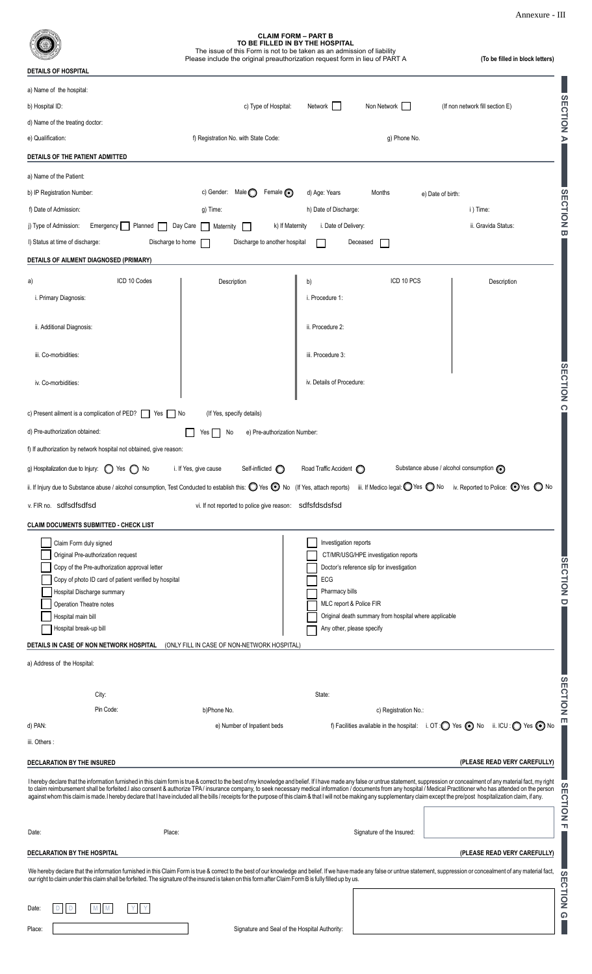Annexure - III

|                                                                                                                                                                                                                                                                                                                                                                                                                                                                                                                                                                                                                                                                                           |                                                         | <b>CLAIM FORM - PART B</b><br>TO BE FILLED IN BY THE HOSPITAL<br>The issue of this Form is not to be taken as an admission of liability<br>Please include the original preauthorization request form in lieu of PART A | (To be filled in block letters)                      |  |
|-------------------------------------------------------------------------------------------------------------------------------------------------------------------------------------------------------------------------------------------------------------------------------------------------------------------------------------------------------------------------------------------------------------------------------------------------------------------------------------------------------------------------------------------------------------------------------------------------------------------------------------------------------------------------------------------|---------------------------------------------------------|------------------------------------------------------------------------------------------------------------------------------------------------------------------------------------------------------------------------|------------------------------------------------------|--|
| <b>DETAILS OF HOSPITAL</b>                                                                                                                                                                                                                                                                                                                                                                                                                                                                                                                                                                                                                                                                |                                                         |                                                                                                                                                                                                                        |                                                      |  |
| a) Name of the hospital:                                                                                                                                                                                                                                                                                                                                                                                                                                                                                                                                                                                                                                                                  |                                                         |                                                                                                                                                                                                                        |                                                      |  |
| b) Hospital ID:                                                                                                                                                                                                                                                                                                                                                                                                                                                                                                                                                                                                                                                                           | c) Type of Hospital:                                    | Non Network  <br>Network                                                                                                                                                                                               | (If non network fill section E)                      |  |
| d) Name of the treating doctor:                                                                                                                                                                                                                                                                                                                                                                                                                                                                                                                                                                                                                                                           |                                                         |                                                                                                                                                                                                                        |                                                      |  |
| e) Qualification:                                                                                                                                                                                                                                                                                                                                                                                                                                                                                                                                                                                                                                                                         | f) Registration No. with State Code:                    | g) Phone No.                                                                                                                                                                                                           |                                                      |  |
| DETAILS OF THE PATIENT ADMITTED                                                                                                                                                                                                                                                                                                                                                                                                                                                                                                                                                                                                                                                           |                                                         |                                                                                                                                                                                                                        |                                                      |  |
| a) Name of the Patient:                                                                                                                                                                                                                                                                                                                                                                                                                                                                                                                                                                                                                                                                   |                                                         |                                                                                                                                                                                                                        |                                                      |  |
| b) IP Registration Number:                                                                                                                                                                                                                                                                                                                                                                                                                                                                                                                                                                                                                                                                | Female (O<br>c) Gender: Male $\bigcirc$                 | d) Age: Years<br>Months<br>e) Date of birth:                                                                                                                                                                           |                                                      |  |
| f) Date of Admission:                                                                                                                                                                                                                                                                                                                                                                                                                                                                                                                                                                                                                                                                     | g) Time:                                                | h) Date of Discharge:                                                                                                                                                                                                  | i) Time:                                             |  |
| j) Type of Admission:<br>Emergency<br>Planned                                                                                                                                                                                                                                                                                                                                                                                                                                                                                                                                                                                                                                             | Day Care<br>k) If Maternity<br><b>Maternity</b>         | i. Date of Delivery:                                                                                                                                                                                                   | ii. Gravida Status:                                  |  |
| I) Status at time of discharge:<br>Discharge to home                                                                                                                                                                                                                                                                                                                                                                                                                                                                                                                                                                                                                                      | Discharge to another hospital                           | Deceased                                                                                                                                                                                                               |                                                      |  |
| DETAILS OF AILMENT DIAGNOSED (PRIMARY)                                                                                                                                                                                                                                                                                                                                                                                                                                                                                                                                                                                                                                                    |                                                         |                                                                                                                                                                                                                        |                                                      |  |
|                                                                                                                                                                                                                                                                                                                                                                                                                                                                                                                                                                                                                                                                                           |                                                         |                                                                                                                                                                                                                        |                                                      |  |
| ICD 10 Codes<br>a)                                                                                                                                                                                                                                                                                                                                                                                                                                                                                                                                                                                                                                                                        | Description                                             | ICD 10 PCS<br>b)                                                                                                                                                                                                       | Description                                          |  |
| i. Primary Diagnosis:                                                                                                                                                                                                                                                                                                                                                                                                                                                                                                                                                                                                                                                                     |                                                         | i. Procedure 1:                                                                                                                                                                                                        |                                                      |  |
|                                                                                                                                                                                                                                                                                                                                                                                                                                                                                                                                                                                                                                                                                           |                                                         |                                                                                                                                                                                                                        |                                                      |  |
| ii. Additional Diagnosis:                                                                                                                                                                                                                                                                                                                                                                                                                                                                                                                                                                                                                                                                 |                                                         | ii. Procedure 2:                                                                                                                                                                                                       |                                                      |  |
| iii. Co-morbidities:                                                                                                                                                                                                                                                                                                                                                                                                                                                                                                                                                                                                                                                                      |                                                         | iii. Procedure 3:                                                                                                                                                                                                      |                                                      |  |
| iv. Co-morbidities:                                                                                                                                                                                                                                                                                                                                                                                                                                                                                                                                                                                                                                                                       |                                                         | iv. Details of Procedure:                                                                                                                                                                                              |                                                      |  |
| <b>SECTION</b><br>$\Omega$<br>c) Present ailment is a complication of PED?<br>(If Yes, specify details)<br>Yes<br>l No                                                                                                                                                                                                                                                                                                                                                                                                                                                                                                                                                                    |                                                         |                                                                                                                                                                                                                        |                                                      |  |
| e) Pre-authorization Number:<br>d) Pre-authorization obtained:<br>No<br>Yes                                                                                                                                                                                                                                                                                                                                                                                                                                                                                                                                                                                                               |                                                         |                                                                                                                                                                                                                        |                                                      |  |
| f) If authorization by network hospital not obtained, give reason:                                                                                                                                                                                                                                                                                                                                                                                                                                                                                                                                                                                                                        |                                                         |                                                                                                                                                                                                                        |                                                      |  |
|                                                                                                                                                                                                                                                                                                                                                                                                                                                                                                                                                                                                                                                                                           |                                                         |                                                                                                                                                                                                                        |                                                      |  |
| g) Hospitalization due to Injury:<br>$\left( \right)$<br>$\bigcap$ No<br>Yes                                                                                                                                                                                                                                                                                                                                                                                                                                                                                                                                                                                                              | i. If Yes, give cause<br>Self-inflicted<br>O            | Road Traffic Accident (C)                                                                                                                                                                                              | Substance abuse / alcohol consumption $\odot$        |  |
| ii. If Injury due to Substance abuse / alcohol consumption, Test Conducted to establish this: $\bigcirc$ Yes $\bigcirc$ No                                                                                                                                                                                                                                                                                                                                                                                                                                                                                                                                                                |                                                         | iii. If Medico legal: $\bigcirc$ Yes $\bigcirc$ No<br>(If Yes, attach reports)                                                                                                                                         | iv. Reported to Police: $\bigcirc$ Yes $\bigcirc$ No |  |
| v. FIR no. sdfsdfsdfsd                                                                                                                                                                                                                                                                                                                                                                                                                                                                                                                                                                                                                                                                    | vi. If not reported to police give reason: sdfsfdsdsfsd |                                                                                                                                                                                                                        |                                                      |  |
| <b>CLAIM DOCUMENTS SUBMITTED - CHECK LIST</b>                                                                                                                                                                                                                                                                                                                                                                                                                                                                                                                                                                                                                                             |                                                         |                                                                                                                                                                                                                        |                                                      |  |
| Claim Form duly signed                                                                                                                                                                                                                                                                                                                                                                                                                                                                                                                                                                                                                                                                    |                                                         |                                                                                                                                                                                                                        |                                                      |  |
|                                                                                                                                                                                                                                                                                                                                                                                                                                                                                                                                                                                                                                                                                           |                                                         | Investigation reports                                                                                                                                                                                                  |                                                      |  |
| Original Pre-authorization request                                                                                                                                                                                                                                                                                                                                                                                                                                                                                                                                                                                                                                                        |                                                         | CT/MR/USG/HPE investigation reports                                                                                                                                                                                    |                                                      |  |
| Copy of the Pre-authorization approval letter                                                                                                                                                                                                                                                                                                                                                                                                                                                                                                                                                                                                                                             |                                                         | Doctor's reference slip for investigation                                                                                                                                                                              |                                                      |  |
| Copy of photo ID card of patient verified by hospital                                                                                                                                                                                                                                                                                                                                                                                                                                                                                                                                                                                                                                     |                                                         | ECG                                                                                                                                                                                                                    |                                                      |  |
| Hospital Discharge summary                                                                                                                                                                                                                                                                                                                                                                                                                                                                                                                                                                                                                                                                |                                                         | Pharmacy bills                                                                                                                                                                                                         |                                                      |  |
| Operation Theatre notes                                                                                                                                                                                                                                                                                                                                                                                                                                                                                                                                                                                                                                                                   |                                                         | MLC report & Police FIR<br>Original death summary from hospital where applicable                                                                                                                                       |                                                      |  |
| Hospital main bill<br>Hospital break-up bill                                                                                                                                                                                                                                                                                                                                                                                                                                                                                                                                                                                                                                              |                                                         | Any other, please specify                                                                                                                                                                                              |                                                      |  |
| DETAILS IN CASE OF NON NETWORK HOSPITAL                                                                                                                                                                                                                                                                                                                                                                                                                                                                                                                                                                                                                                                   | (ONLY FILL IN CASE OF NON-NETWORK HOSPITAL)             |                                                                                                                                                                                                                        |                                                      |  |
|                                                                                                                                                                                                                                                                                                                                                                                                                                                                                                                                                                                                                                                                                           |                                                         |                                                                                                                                                                                                                        |                                                      |  |
| a) Address of the Hospital:                                                                                                                                                                                                                                                                                                                                                                                                                                                                                                                                                                                                                                                               |                                                         |                                                                                                                                                                                                                        |                                                      |  |
|                                                                                                                                                                                                                                                                                                                                                                                                                                                                                                                                                                                                                                                                                           |                                                         |                                                                                                                                                                                                                        |                                                      |  |
| City:                                                                                                                                                                                                                                                                                                                                                                                                                                                                                                                                                                                                                                                                                     |                                                         | State:                                                                                                                                                                                                                 |                                                      |  |
| Pin Code:                                                                                                                                                                                                                                                                                                                                                                                                                                                                                                                                                                                                                                                                                 | b)Phone No.                                             | c) Registration No.:                                                                                                                                                                                                   |                                                      |  |
| d) PAN:                                                                                                                                                                                                                                                                                                                                                                                                                                                                                                                                                                                                                                                                                   | e) Number of Inpatient beds                             | f) Facilities available in the hospital: i. OT: O Yes O No ii. ICU: O Yes O No                                                                                                                                         |                                                      |  |
| iii. Others:                                                                                                                                                                                                                                                                                                                                                                                                                                                                                                                                                                                                                                                                              |                                                         |                                                                                                                                                                                                                        |                                                      |  |
| DECLARATION BY THE INSURED                                                                                                                                                                                                                                                                                                                                                                                                                                                                                                                                                                                                                                                                |                                                         |                                                                                                                                                                                                                        | (PLEASE READ VERY CAREFULLY)                         |  |
| I hereby declare that the information furnished in this claim form is true & correct to the best of my knowledge and belief. If I have made any false or untrue statement, suppression or concealment of any material fact, my<br>to claim reimbursement shall be forfeited.I also consent & authorize TPA/insurance company, to seek necessary medical information / documents from any hospital / Medical Practitioner who has attended on the person<br>against whom this claim is made.I hereby declare that I have included all the bills / receipts for the purpose of this claim & that I will not be making any supplementary claim except the pre/post hospitalization claim, if |                                                         |                                                                                                                                                                                                                        |                                                      |  |
|                                                                                                                                                                                                                                                                                                                                                                                                                                                                                                                                                                                                                                                                                           |                                                         |                                                                                                                                                                                                                        |                                                      |  |
| Place:<br>Date:                                                                                                                                                                                                                                                                                                                                                                                                                                                                                                                                                                                                                                                                           |                                                         | Signature of the Insured:                                                                                                                                                                                              |                                                      |  |
| <b>DECLARATION BY THE HOSPITAL</b>                                                                                                                                                                                                                                                                                                                                                                                                                                                                                                                                                                                                                                                        |                                                         |                                                                                                                                                                                                                        | (PLEASE READ VERY CAREFULLY)                         |  |
| We hereby declare that the information furnished in this Claim Form is true & correct to the best of our knowledge and belief. If we have made any false or untrue statement, suppression or concealment of any material fact,<br>our right to claim under this claim shall be forfeited. The signature of the insured is taken on this form after Claim Form B is fully filled up by us.                                                                                                                                                                                                                                                                                                 |                                                         |                                                                                                                                                                                                                        |                                                      |  |
| D<br>Date:<br>M<br>M                                                                                                                                                                                                                                                                                                                                                                                                                                                                                                                                                                                                                                                                      |                                                         |                                                                                                                                                                                                                        |                                                      |  |